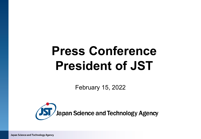# **Press Conference President of JST**

February 15, 2022



Japan Science and Technology Agency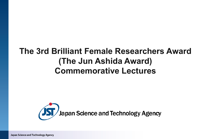# **The 3rd Brilliant Female Researchers Award (The Jun Ashida Award) Commemorative Lectures**



Japan Science and Technology Agency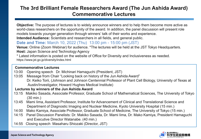# **The 3rd Brilliant Female Researchers Award (The Jun Ashida Award) Commemorative Lectures**

**Objective:** The purpose of lectures is to widely announce winners and to help them become more active as world-class researchers on the opportunity of the award. In addition, the panel discussion will present role models towards younger generation through winners' talk of their works and experience. **Intended Audience:** Scientists and researchers in all fields, and general public.

#### **Date and Time:** March 10, 2022 (Thu) 13:00 pm - 15:00 pm (JST)

**Venue:** Online (Zoom Webinar) for audience. \*The lectures will be held at the JST Tokyo Headquarters.

**Host:** Japan Science and Technology Agency

\* Latest information is posted on the website of Office for Diversity and Inclusiveness as needed. https://www.jst.go.jp/diversity/index.html

#### **Commemorative Lectures**

- 13:00 Opening speech Dr. Michinari Hamaguchi (President, JST)
- 13:05 Message from Chair "Looking back on history of the Jun Ashida Award" Dr. Keiko Torii, (Johnson and Johnson Centennial Professor of Plant Cell Biology, University of Texas at Austin/Investigator, Howard Hughes Medical Institute)

#### **Lectures by winners of the Jun Ashida Award**

- 13:15 Makiko Sasada, Associate Professor, Graduate School of Mathematical Sciences, The University of Tokyo (30 min.)
- 13:45 Mami Iima, Assistant Professor, Institute for Advancement of Clinical and Translational Science and Department of Diagnostic Imaging and Nuclear Medicine, Kyoto University Hospital (15 min.)
- 14:00 Mako Kamiya, Associate Professor, Graduate School of Medicine, The University of Tokyo (15 min.)
- 14:15 Panel Discussion Panelists: Dr. Makiko Sasada, Dr. Mami Iima, Dr. Mako Kamiya, President Hamaguchi and Executive Director Watanabe. (40 min.)
- 14:55 Closing speech Masaharu Shiozaki (Director, JST)

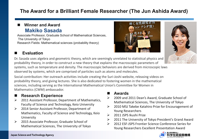# **The Award for a Brilliant Female Researcher (The Jun Ashida Award)**

### **Winner and Award Makiko Sasada**

Associate Professor, Graduate School of Mathematical Sciences, The University of Tokyo Research Fields: Mathematical sciences (probability theory)



Dr. Sasada uses algebra and geometric theory, which are seemingly unrelated to statistical physics and probability theory, in order to construct a new theory that explains the macroscopic parameters of systems, such as temperature and density. The macroscopic behaviors are derived from microscopic laws observed by systems, which are comprised of particles such as atoms and molecules.

Social contribution: Her outreach activities include creating the Suri-Joshi website, releasing videos on probability theory, and giving lectures. She is also dedicated to fostering women in the mathematical sciences, including serving as the International Mathematical Union's Committee for Women in Mathematics (CWM) ambassador.

#### **Research Experience**

- $\geq$  2011 Assistant Professor, Department of Mathematics, Faculty of Science and Technology, Keio University
- 2014 Senior Assistant Professor, Department of Mathematics, Faculty of Science and Technology, Keio **University**
- 2015 Associate Professor, Graduate School of Mathematical Sciences, The University of Tokyo

#### **Awards**

- 2009 and 2011 Dean's Award, Graduate School of Mathematical Sciences, The University of Tokyo
- 2010 MSJ Takebe Katahiro Prize for Encouragement of Young Researchers
- 2011 JSPS Ikushi Prize
- 2011 The University of Tokyo President's Grand Award
- 2012 ESF-JSPS Frontier Science Conference Series for Young Researchers Excellent Presentation Award





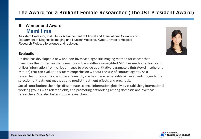# **The Award for a Brilliant Female Researcher (The JST President Award)**

#### **Winner and Award Mami Iima**

Assistant Professor, Institute for Advancement of Clinical and Translational Science and Department of Diagnostic Imaging and Nuclear Medicine, Kyoto University Hospital Research Fields: Life science and radiology

#### **Evaluation**

Dr. Iima has developed a new and non-invasive diagnostic imaging method for cancer that minimizes the burden on the human body. Using diffusion-weighted MRI, her method extracts and utilizes information from various images to provide quantitative parameters (IntraVoxel Incoherent Motion) that can evaluate tissue microperfusion without the use of contrast agents. As a researcher linking clinical and basic research, she has made remarkable achievements to guide the selection of treatment methods and predict treatment effects and prognosis.

Social contribution: she helps disseminate science information globally by establishing international working groups with related fields, and promoting networking among domestic and overseas researchers. She also fosters future researchers.



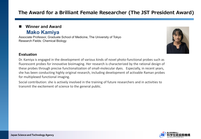# **The Award for a Brilliant Female Researcher (The JST President Award)**

#### **Winner and Award Mako Kamiya**

Associate Professor, Graduate School of Medicine, The University of Tokyo Research Fields: Chemical Biology



#### **Evaluation**

Dr. Kamiya is engaged in the development of various kinds of novel photo-functional probes such as fluorescent probes for innovative bioimaging. Her research is characterized by the rational design of these probes through precise functionalization of small-molecular dyes. Especially, in recent years, she has been conducting highly original research, including development of activable Raman probes for multiplexed functional imaging.

Social contribution: she is actively involved in the training of future researchers and in activities to transmit the excitement of science to the general public.

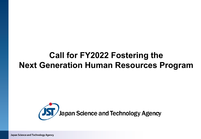# **Call for FY2022 Fostering the Next Generation Human Resources Program**



Japan Science and Technology Agency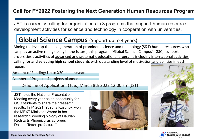# **Call for FY2022 Fostering the Next Generation Human Resources Program**

JST is currently calling for organizations in 3 programs that support human resource development activities for science and technology in cooperation with universities.

# **Global Science Campus** (Support up to 4 years)

Aiming to develop the next generation of prominent science and technology (S&T) human resources who can play an active role globally in the future, this program, "Global Science Campus" (GSC), supports unversities's activities of advanced and systematic educational programs including international activities, **calling for and selecting high school students** with outstanding level of motivation and abilities in each region.

Amount of Funding: Up to ¥30 million/year

Number of Projects: 4 projects planned

Deadline of Application: (Tue.) March 8th 2022 12:00 am (JST)

JST holds the National Presentation Meeting every year as an opportunity for GSC students to share their research results. In FY2021, Yuzuha Kusunoki won the MEXT Minister's Award in her research "Breeding biology of Daurian Redstarts Phoenicurus auroreus in Daisen, Tottori prefecture."





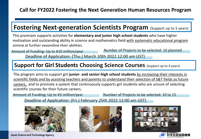# **Fostering Next-generation Scientists Program (Support up to 5 years)**

This promram supports activities for **elementary and junior high school students** who have higher motivation and outstanding ability in science and mathematics field with systematic educational program aiming at further expanding their abilities.

#### Deadline of Application: (Thu.) March 10th 2022 12:00 am (JST) Amount of Funding: Up to ¥10 million/year Number of Projects to be selected: 10 planned

# **Support for Girl Students Choosing Science Courses** (Support up to 4 years)

The program aims to support girl **junior- and senior-high school students** by increasing their interests in scientific fields and by assisting teachers and parents to understand their selection of S&T fields as future careers, and to promote a system that continuously supports girl students who are unsure of selecting scientific courses for their future careers.

Amount of Funding: Up to \\imed\]\$3 million/year Number of Projects to be selected: 10 to 15

Deadline of Application: (Fri.) February 25th 2022 12:00 am (JST)



Japan Science and Technology Agency